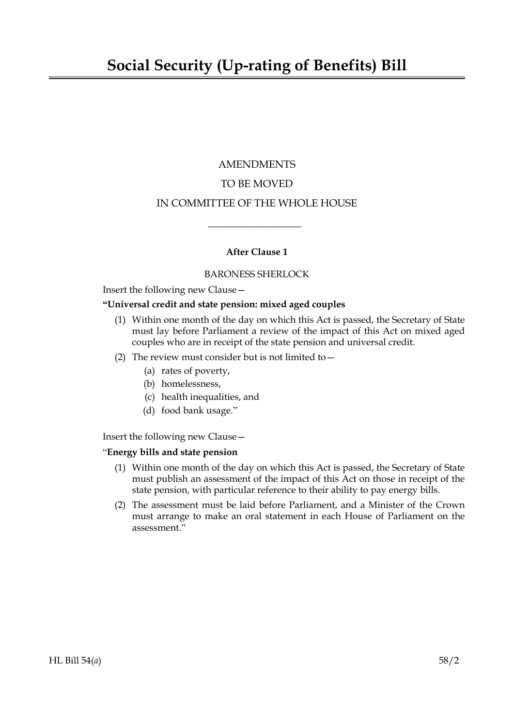# AMENDMENTS TO BE MOVED IN COMMITTEE OF THE WHOLE HOUSE

## **After Clause 1**

 $\overline{\phantom{a}}$  , where  $\overline{\phantom{a}}$ 

### BARONESS SHERLOCK

Insert the following new Clause—

#### **"Universal credit and state pension: mixed aged couples**

- (1) Within one month of the day on which this Act is passed, the Secretary of State must lay before Parliament a review of the impact of this Act on mixed aged couples who are in receipt of the state pension and universal credit.
- (2) The review must consider but is not limited to  $-$ 
	- (a) rates of poverty,
	- (b) homelessness,
	- (c) health inequalities, and
	- (d) food bank usage."

Insert the following new Clause—

### "**Energy bills and state pension**

- (1) Within one month of the day on which this Act is passed, the Secretary of State must publish an assessment of the impact of this Act on those in receipt of the state pension, with particular reference to their ability to pay energy bills.
- (2) The assessment must be laid before Parliament, and a Minister of the Crown must arrange to make an oral statement in each House of Parliament on the assessment."